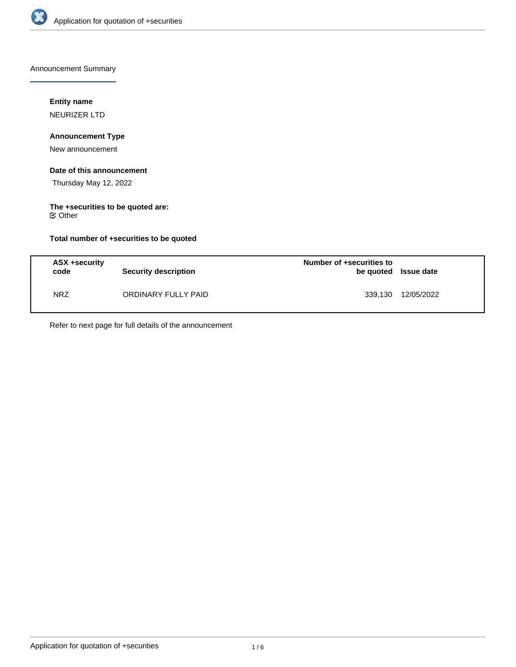

Announcement Summary

# **Entity name**

NEURIZER LTD

## **Announcement Type**

New announcement

## **Date of this announcement**

Thursday May 12, 2022

# **The +securities to be quoted are:**

Other

## **Total number of +securities to be quoted**

| ASX +security<br>code | Security description | Number of +securities to<br>be quoted Issue date |            |
|-----------------------|----------------------|--------------------------------------------------|------------|
| <b>NRZ</b>            | ORDINARY FULLY PAID  | 339,130                                          | 12/05/2022 |

Refer to next page for full details of the announcement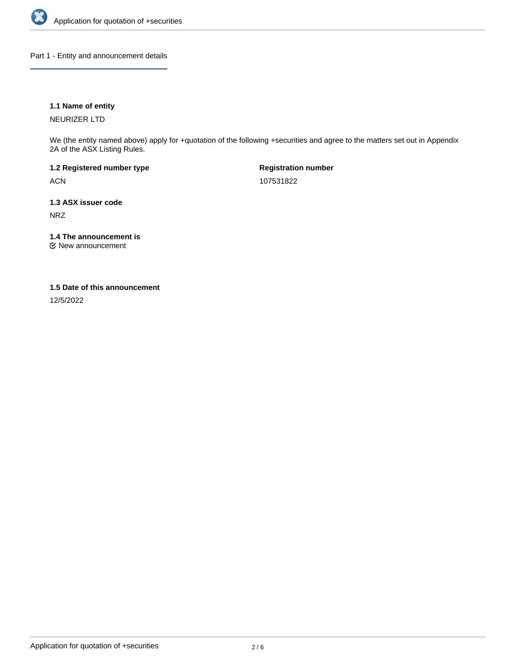

Part 1 - Entity and announcement details

## **1.1 Name of entity**

NEURIZER LTD

We (the entity named above) apply for +quotation of the following +securities and agree to the matters set out in Appendix 2A of the ASX Listing Rules.

**1.2 Registered number type** ACN

**Registration number** 107531822

**1.3 ASX issuer code** NRZ

**1.4 The announcement is**

New announcement

### **1.5 Date of this announcement**

12/5/2022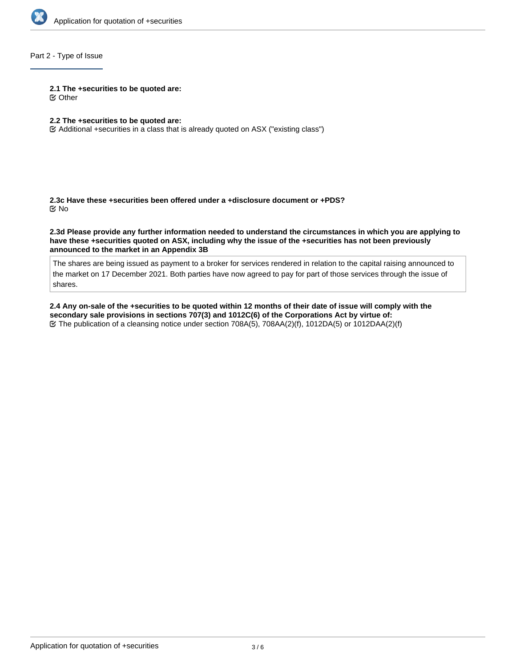

## Part 2 - Type of Issue

#### **2.1 The +securities to be quoted are:**

Other

## **2.2 The +securities to be quoted are:**

Additional +securities in a class that is already quoted on ASX ("existing class")

**2.3c Have these +securities been offered under a +disclosure document or +PDS?** No

**2.3d Please provide any further information needed to understand the circumstances in which you are applying to have these +securities quoted on ASX, including why the issue of the +securities has not been previously announced to the market in an Appendix 3B**

The shares are being issued as payment to a broker for services rendered in relation to the capital raising announced to the market on 17 December 2021. Both parties have now agreed to pay for part of those services through the issue of shares.

**2.4 Any on-sale of the +securities to be quoted within 12 months of their date of issue will comply with the secondary sale provisions in sections 707(3) and 1012C(6) of the Corporations Act by virtue of:** The publication of a cleansing notice under section 708A(5), 708AA(2)(f), 1012DA(5) or 1012DAA(2)(f)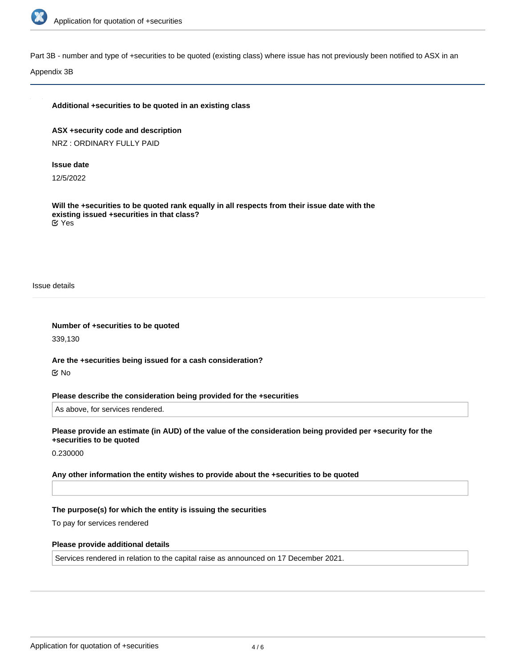

Part 3B - number and type of +securities to be quoted (existing class) where issue has not previously been notified to ASX in an

Appendix 3B

#### **Additional +securities to be quoted in an existing class**

**ASX +security code and description** NRZ : ORDINARY FULLY PAID

#### **Issue date**

12/5/2022

**Will the +securities to be quoted rank equally in all respects from their issue date with the existing issued +securities in that class?** Yes

Issue details

**Number of +securities to be quoted** 339,130

**Are the +securities being issued for a cash consideration?** No

**Please describe the consideration being provided for the +securities**

As above, for services rendered.

**Please provide an estimate (in AUD) of the value of the consideration being provided per +security for the +securities to be quoted**

0.230000

**Any other information the entity wishes to provide about the +securities to be quoted**

#### **The purpose(s) for which the entity is issuing the securities**

To pay for services rendered

#### **Please provide additional details**

Services rendered in relation to the capital raise as announced on 17 December 2021.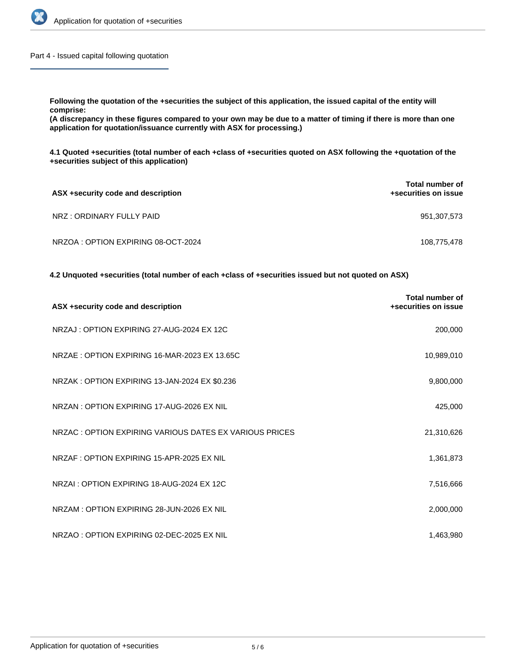

Part 4 - Issued capital following quotation

**Following the quotation of the +securities the subject of this application, the issued capital of the entity will comprise:**

**(A discrepancy in these figures compared to your own may be due to a matter of timing if there is more than one application for quotation/issuance currently with ASX for processing.)**

**4.1 Quoted +securities (total number of each +class of +securities quoted on ASX following the +quotation of the +securities subject of this application)**

| ASX +security code and description | Total number of<br>+securities on issue |
|------------------------------------|-----------------------------------------|
| NRZ : ORDINARY FULLY PAID          | 951,307,573                             |
| NRZOA: OPTION EXPIRING 08-OCT-2024 | 108,775,478                             |

**4.2 Unquoted +securities (total number of each +class of +securities issued but not quoted on ASX)**

| ASX +security code and description                     | <b>Total number of</b><br>+securities on issue |
|--------------------------------------------------------|------------------------------------------------|
| NRZAJ: OPTION EXPIRING 27-AUG-2024 EX 12C              | 200,000                                        |
| NRZAE: OPTION EXPIRING 16-MAR-2023 EX 13.65C           | 10,989,010                                     |
| NRZAK: OPTION EXPIRING 13-JAN-2024 EX \$0.236          | 9,800,000                                      |
| NRZAN: OPTION EXPIRING 17-AUG-2026 EX NIL              | 425,000                                        |
| NRZAC: OPTION EXPIRING VARIOUS DATES EX VARIOUS PRICES | 21,310,626                                     |
| NRZAF: OPTION EXPIRING 15-APR-2025 EX NIL              | 1,361,873                                      |
| NRZAI: OPTION EXPIRING 18-AUG-2024 EX 12C              | 7,516,666                                      |
| NRZAM: OPTION EXPIRING 28-JUN-2026 EX NIL              | 2,000,000                                      |
| NRZAO: OPTION EXPIRING 02-DEC-2025 EX NIL              | 1,463,980                                      |